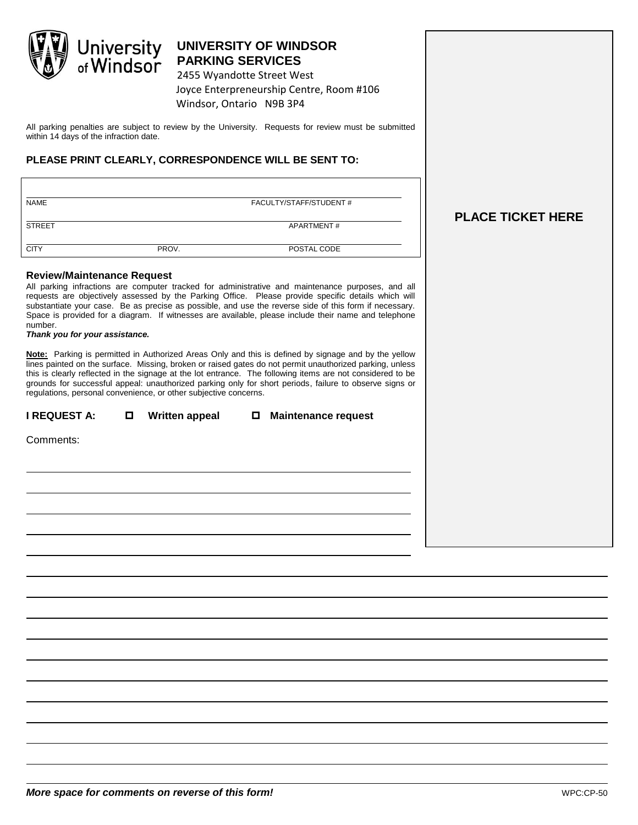

# **UNIVERSITY OF WINDSOR PARKING SERVICES**

2455 Wyandotte Street West Joyce Enterpreneurship Centre, Room #106 Windsor, Ontario N9B 3P4

All parking penalties are subject to review by the University. Requests for review must be submitted within 14 days of the infraction date.

### **PLEASE PRINT CLEARLY, CORRESPONDENCE WILL BE SENT TO:**

| <b>NAME</b>   | FACULTY/STAFF/STUDENT # |             |  |
|---------------|-------------------------|-------------|--|
| <b>STREET</b> |                         | APARTMENT#  |  |
| <b>CITY</b>   | PROV.                   | POSTAL CODE |  |

#### **Review/Maintenance Request**

All parking infractions are computer tracked for administrative and maintenance purposes, and all requests are objectively assessed by the Parking Office. Please provide specific details which will substantiate your case. Be as precise as possible, and use the reverse side of this form if necessary. Space is provided for a diagram. If witnesses are available, please include their name and telephone number.

#### *Thank you for your assistance.*

**Note:** Parking is permitted in Authorized Areas Only and this is defined by signage and by the yellow lines painted on the surface. Missing, broken or raised gates do not permit unauthorized parking, unless this is clearly reflected in the signage at the lot entrance. The following items are not considered to be grounds for successful appeal: unauthorized parking only for short periods, failure to observe signs or regulations, personal convenience, or other subjective concerns.

**I REQUEST A: Written appeal Maintenance request**

| Comments: |  |
|-----------|--|

## **PLACE TICKET HERE**